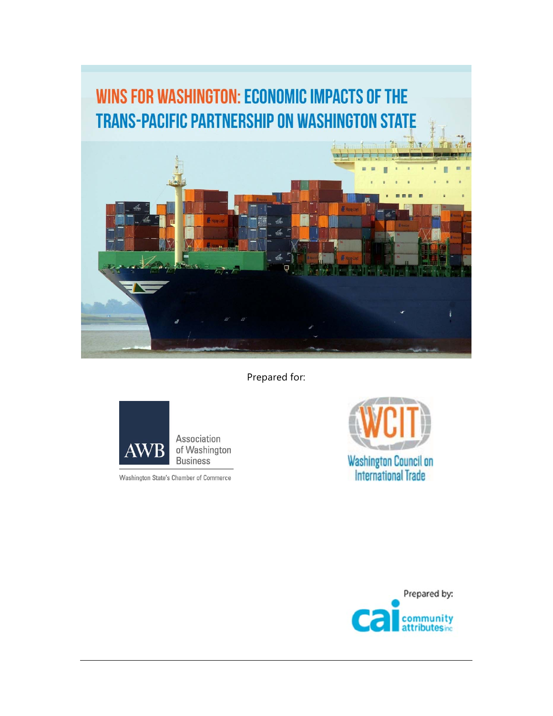# **WINS FOR WASHINGTON: ECONOMIC IMPACTS OF THE TRANS-PACIFIC PARTNERSHIP ON WASHINGTON STATE** ÷

Prepared for:



Washington State's Chamber of Commerce



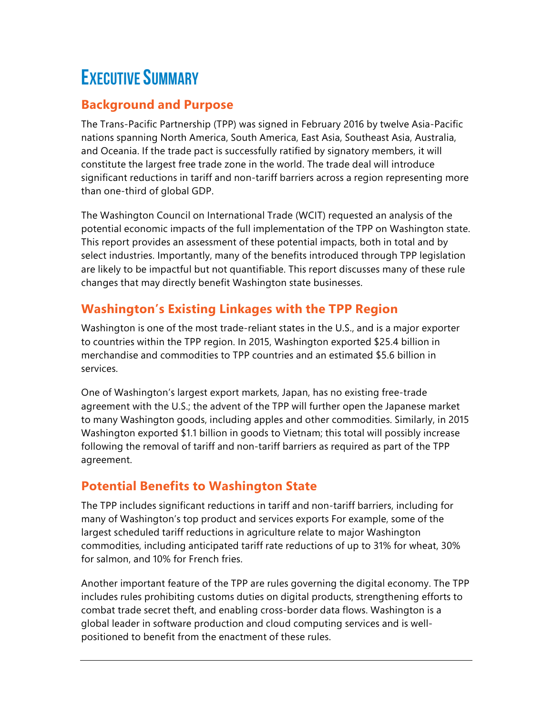# EXECUTIVE SUMMARY

## **Background and Purpose**

The Trans-Pacific Partnership (TPP) was signed in February 2016 by twelve Asia-Pacific nations spanning North America, South America, East Asia, Southeast Asia, Australia, and Oceania. If the trade pact is successfully ratified by signatory members, it will constitute the largest free trade zone in the world. The trade deal will introduce significant reductions in tariff and non-tariff barriers across a region representing more than one-third of global GDP.

The Washington Council on International Trade (WCIT) requested an analysis of the potential economic impacts of the full implementation of the TPP on Washington state. This report provides an assessment of these potential impacts, both in total and by select industries. Importantly, many of the benefits introduced through TPP legislation are likely to be impactful but not quantifiable. This report discusses many of these rule changes that may directly benefit Washington state businesses.

# **Washington's Existing Linkages with the TPP Region**

Washington is one of the most trade-reliant states in the U.S., and is a major exporter to countries within the TPP region. In 2015, Washington exported \$25.4 billion in merchandise and commodities to TPP countries and an estimated \$5.6 billion in services.

One of Washington's largest export markets, Japan, has no existing free-trade agreement with the U.S.; the advent of the TPP will further open the Japanese market to many Washington goods, including apples and other commodities. Similarly, in 2015 Washington exported \$1.1 billion in goods to Vietnam; this total will possibly increase following the removal of tariff and non-tariff barriers as required as part of the TPP agreement.

# **Potential Benefits to Washington State**

The TPP includes significant reductions in tariff and non-tariff barriers, including for many of Washington's top product and services exports For example, some of the largest scheduled tariff reductions in agriculture relate to major Washington commodities, including anticipated tariff rate reductions of up to 31% for wheat, 30% for salmon, and 10% for French fries.

Another important feature of the TPP are rules governing the digital economy. The TPP includes rules prohibiting customs duties on digital products, strengthening efforts to combat trade secret theft, and enabling cross-border data flows. Washington is a global leader in software production and cloud computing services and is wellpositioned to benefit from the enactment of these rules.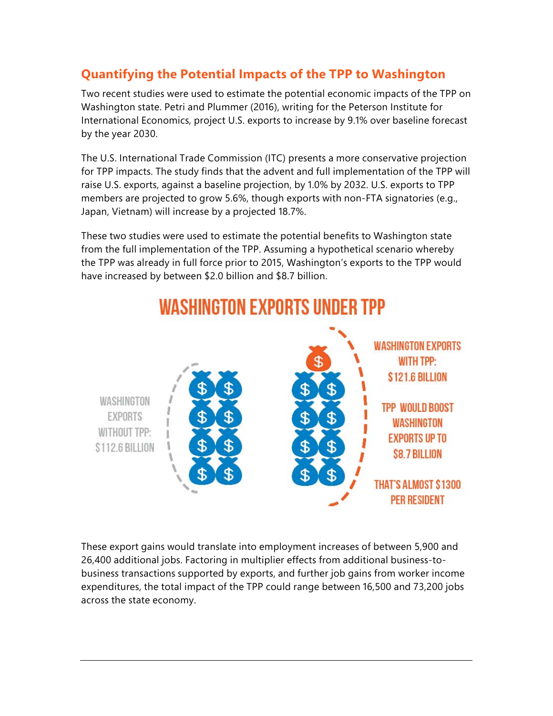## **Quantifying the Potential Impacts of the TPP to Washington**

Two recent studies were used to estimate the potential economic impacts of the TPP on Washington state. Petri and Plummer (2016), writing for the Peterson Institute for International Economics, project U.S. exports to increase by 9.1% over baseline forecast by the year 2030.

The U.S. International Trade Commission (ITC) presents a more conservative projection for TPP impacts. The study finds that the advent and full implementation of the TPP will raise U.S. exports, against a baseline projection, by 1.0% by 2032. U.S. exports to TPP members are projected to grow 5.6%, though exports with non-FTA signatories (e.g., Japan, Vietnam) will increase by a projected 18.7%.

These two studies were used to estimate the potential benefits to Washington state from the full implementation of the TPP. Assuming a hypothetical scenario whereby the TPP was already in full force prior to 2015, Washington's exports to the TPP would have increased by between \$2.0 billion and \$8.7 billion.



# **WASHINGTON EXPORTS UNDER TPP**

These export gains would translate into employment increases of between 5,900 and 26,400 additional jobs. Factoring in multiplier effects from additional business-tobusiness transactions supported by exports, and further job gains from worker income expenditures, the total impact of the TPP could range between 16,500 and 73,200 jobs across the state economy.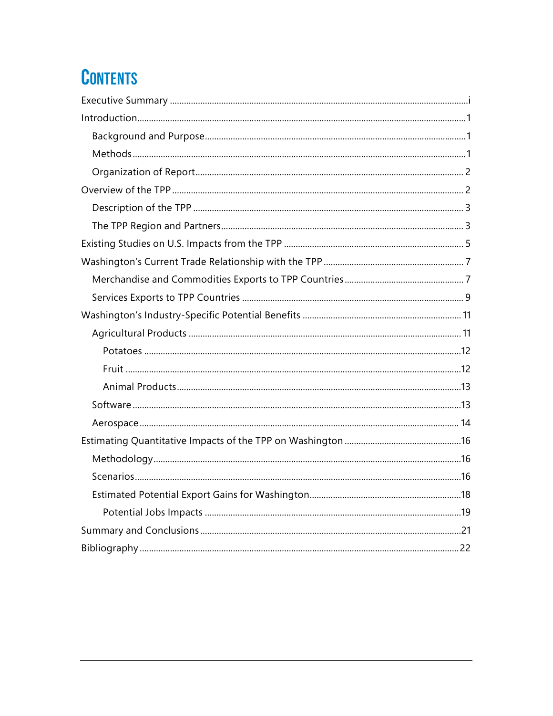# **CONTENTS**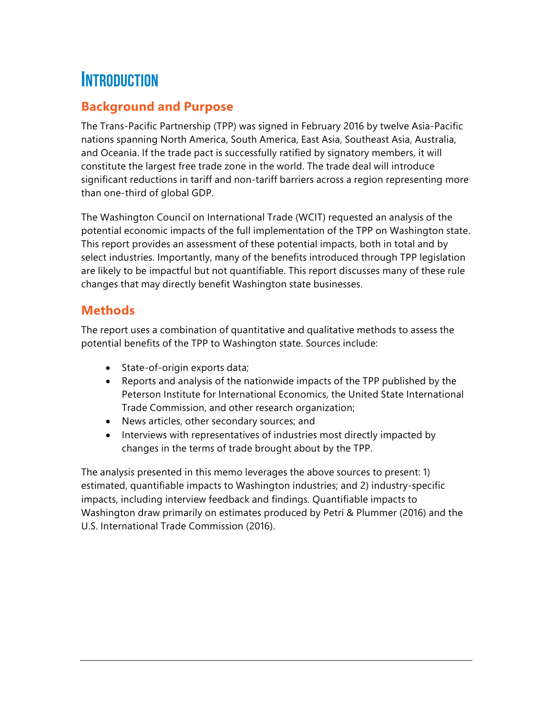# **INTRODUCTION**

## **Background and Purpose**

The Trans-Pacific Partnership (TPP) was signed in February 2016 by twelve Asia-Pacific nations spanning North America, South America, East Asia, Southeast Asia, Australia, and Oceania. If the trade pact is successfully ratified by signatory members, it will constitute the largest free trade zone in the world. The trade deal will introduce significant reductions in tariff and non-tariff barriers across a region representing more than one-third of global GDP.

The Washington Council on International Trade (WCIT) requested an analysis of the potential economic impacts of the full implementation of the TPP on Washington state. This report provides an assessment of these potential impacts, both in total and by select industries. Importantly, many of the benefits introduced through TPP legislation are likely to be impactful but not quantifiable. This report discusses many of these rule changes that may directly benefit Washington state businesses.

#### **Methods**

The report uses a combination of quantitative and qualitative methods to assess the potential benefits of the TPP to Washington state. Sources include:

- State-of-origin exports data;
- Reports and analysis of the nationwide impacts of the TPP published by the Peterson Institute for International Economics, the United State International Trade Commission, and other research organization;
- News articles, other secondary sources; and
- Interviews with representatives of industries most directly impacted by changes in the terms of trade brought about by the TPP.

The analysis presented in this memo leverages the above sources to present: 1) estimated, quantifiable impacts to Washington industries; and 2) industry-specific impacts, including interview feedback and findings. Quantifiable impacts to Washington draw primarily on estimates produced by Petri & Plummer (2016) and the U.S. International Trade Commission (2016).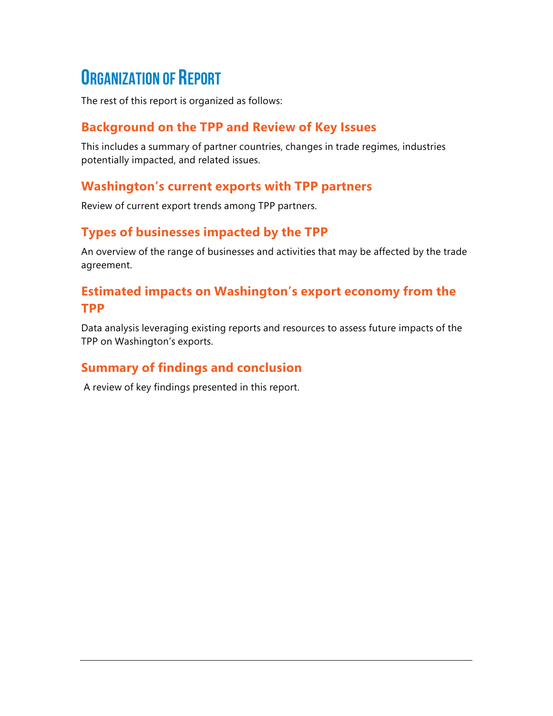# ORGANIZATION OF REPORT

The rest of this report is organized as follows:

## **Background on the TPP and Review of Key Issues**

This includes a summary of partner countries, changes in trade regimes, industries potentially impacted, and related issues.

#### **Washington's current exports with TPP partners**

Review of current export trends among TPP partners.

## **Types of businesses impacted by the TPP**

An overview of the range of businesses and activities that may be affected by the trade agreement.

## **Estimated impacts on Washington's export economy from the TPP**

Data analysis leveraging existing reports and resources to assess future impacts of the TPP on Washington's exports.

# **Summary of findings and conclusion**

A review of key findings presented in this report.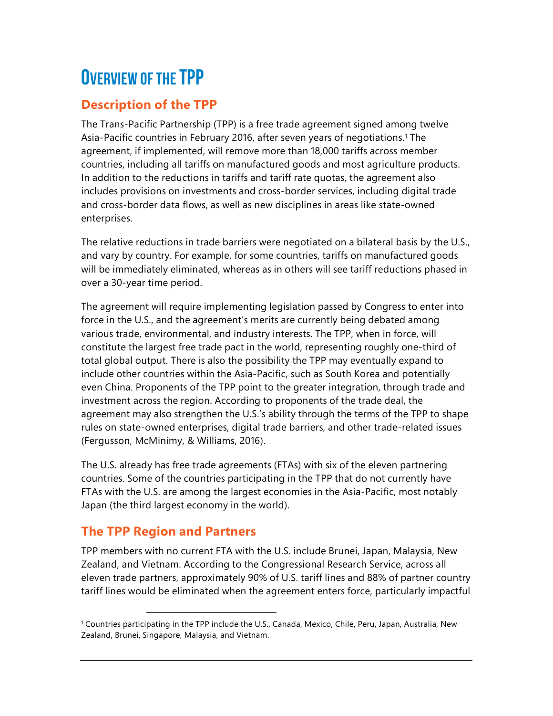# OVERVIEW OF THE TPP

# **Description of the TPP**

The Trans-Pacific Partnership (TPP) is a free trade agreement signed among twelve Asia-Pacific countries in February 2016, after seven years of negotiations.<sup>1</sup> The agreement, if implemented, will remove more than 18,000 tariffs across member countries, including all tariffs on manufactured goods and most agriculture products. In addition to the reductions in tariffs and tariff rate quotas, the agreement also includes provisions on investments and cross-border services, including digital trade and cross-border data flows, as well as new disciplines in areas like state-owned enterprises.

The relative reductions in trade barriers were negotiated on a bilateral basis by the U.S., and vary by country. For example, for some countries, tariffs on manufactured goods will be immediately eliminated, whereas as in others will see tariff reductions phased in over a 30-year time period.

The agreement will require implementing legislation passed by Congress to enter into force in the U.S., and the agreement's merits are currently being debated among various trade, environmental, and industry interests. The TPP, when in force, will constitute the largest free trade pact in the world, representing roughly one-third of total global output. There is also the possibility the TPP may eventually expand to include other countries within the Asia-Pacific, such as South Korea and potentially even China. Proponents of the TPP point to the greater integration, through trade and investment across the region. According to proponents of the trade deal, the agreement may also strengthen the U.S.'s ability through the terms of the TPP to shape rules on state-owned enterprises, digital trade barriers, and other trade-related issues (Fergusson, McMinimy, & Williams, 2016).

The U.S. already has free trade agreements (FTAs) with six of the eleven partnering countries. Some of the countries participating in the TPP that do not currently have FTAs with the U.S. are among the largest economies in the Asia-Pacific, most notably Japan (the third largest economy in the world).

# **The TPP Region and Partners**

 $\overline{a}$ 

TPP members with no current FTA with the U.S. include Brunei, Japan, Malaysia, New Zealand, and Vietnam. According to the Congressional Research Service, across all eleven trade partners, approximately 90% of U.S. tariff lines and 88% of partner country tariff lines would be eliminated when the agreement enters force, particularly impactful

<sup>1</sup> Countries participating in the TPP include the U.S., Canada, Mexico, Chile, Peru, Japan, Australia, New Zealand, Brunei, Singapore, Malaysia, and Vietnam.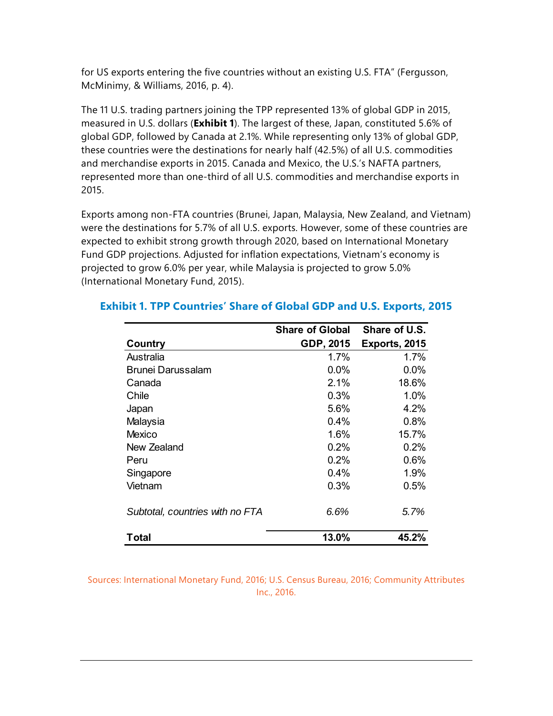for US exports entering the five countries without an existing U.S. FTA" (Fergusson, McMinimy, & Williams, 2016, p. 4).

The 11 U.S. trading partners joining the TPP represented 13% of global GDP in 2015, measured in U.S. dollars (**Exhibit 1**). The largest of these, Japan, constituted 5.6% of global GDP, followed by Canada at 2.1%. While representing only 13% of global GDP, these countries were the destinations for nearly half (42.5%) of all U.S. commodities and merchandise exports in 2015. Canada and Mexico, the U.S.'s NAFTA partners, represented more than one-third of all U.S. commodities and merchandise exports in 2015.

Exports among non-FTA countries (Brunei, Japan, Malaysia, New Zealand, and Vietnam) were the destinations for 5.7% of all U.S. exports. However, some of these countries are expected to exhibit strong growth through 2020, based on International Monetary Fund GDP projections. Adjusted for inflation expectations, Vietnam's economy is projected to grow 6.0% per year, while Malaysia is projected to grow 5.0% (International Monetary Fund, 2015).

|                                 | <b>Share of Global</b> | Share of U.S. |
|---------------------------------|------------------------|---------------|
| Country                         | GDP, 2015              | Exports, 2015 |
| Australia                       | 1.7%                   | 1.7%          |
| Brunei Darussalam               | 0.0%                   | $0.0\%$       |
| Canada                          | 2.1%                   | 18.6%         |
| Chile                           | 0.3%                   | 1.0%          |
| Japan                           | 5.6%                   | 4.2%          |
| Malaysia                        | 0.4%                   | 0.8%          |
| Mexico                          | 1.6%                   | 15.7%         |
| New Zealand                     | 0.2%                   | 0.2%          |
| Peru                            | 0.2%                   | 0.6%          |
| Singapore                       | $0.4\%$                | 1.9%          |
| Vietnam                         | 0.3%                   | $0.5\%$       |
| Subtotal, countries with no FTA | 6.6%                   | 5.7%          |
| Total                           | 13.0%                  | 45.2%         |

#### **Exhibit 1. TPP Countries' Share of Global GDP and U.S. Exports, 2015**

Sources: International Monetary Fund, 2016; U.S. Census Bureau, 2016; Community Attributes Inc., 2016.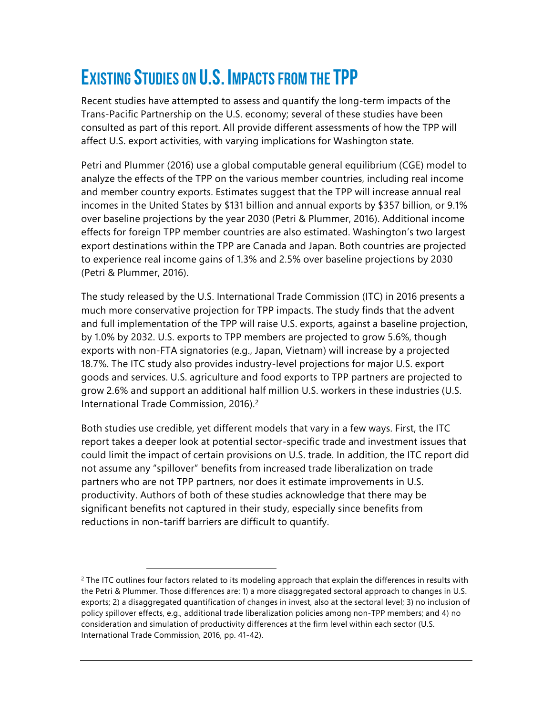# EXISTING STUDIES ON U.S. IMPACTS FROM THE TPP

Recent studies have attempted to assess and quantify the long-term impacts of the Trans-Pacific Partnership on the U.S. economy; several of these studies have been consulted as part of this report. All provide different assessments of how the TPP will affect U.S. export activities, with varying implications for Washington state.

Petri and Plummer (2016) use a global computable general equilibrium (CGE) model to analyze the effects of the TPP on the various member countries, including real income and member country exports. Estimates suggest that the TPP will increase annual real incomes in the United States by \$131 billion and annual exports by \$357 billion, or 9.1% over baseline projections by the year 2030 (Petri & Plummer, 2016). Additional income effects for foreign TPP member countries are also estimated. Washington's two largest export destinations within the TPP are Canada and Japan. Both countries are projected to experience real income gains of 1.3% and 2.5% over baseline projections by 2030 (Petri & Plummer, 2016).

The study released by the U.S. International Trade Commission (ITC) in 2016 presents a much more conservative projection for TPP impacts. The study finds that the advent and full implementation of the TPP will raise U.S. exports, against a baseline projection, by 1.0% by 2032. U.S. exports to TPP members are projected to grow 5.6%, though exports with non-FTA signatories (e.g., Japan, Vietnam) will increase by a projected 18.7%. The ITC study also provides industry-level projections for major U.S. export goods and services. U.S. agriculture and food exports to TPP partners are projected to grow 2.6% and support an additional half million U.S. workers in these industries (U.S. International Trade Commission, 2016).2

Both studies use credible, yet different models that vary in a few ways. First, the ITC report takes a deeper look at potential sector-specific trade and investment issues that could limit the impact of certain provisions on U.S. trade. In addition, the ITC report did not assume any "spillover" benefits from increased trade liberalization on trade partners who are not TPP partners, nor does it estimate improvements in U.S. productivity. Authors of both of these studies acknowledge that there may be significant benefits not captured in their study, especially since benefits from reductions in non-tariff barriers are difficult to quantify.

 $\overline{a}$ 

<sup>&</sup>lt;sup>2</sup> The ITC outlines four factors related to its modeling approach that explain the differences in results with the Petri & Plummer. Those differences are: 1) a more disaggregated sectoral approach to changes in U.S. exports; 2) a disaggregated quantification of changes in invest, also at the sectoral level; 3) no inclusion of policy spillover effects, e.g., additional trade liberalization policies among non-TPP members; and 4) no consideration and simulation of productivity differences at the firm level within each sector (U.S. International Trade Commission, 2016, pp. 41-42).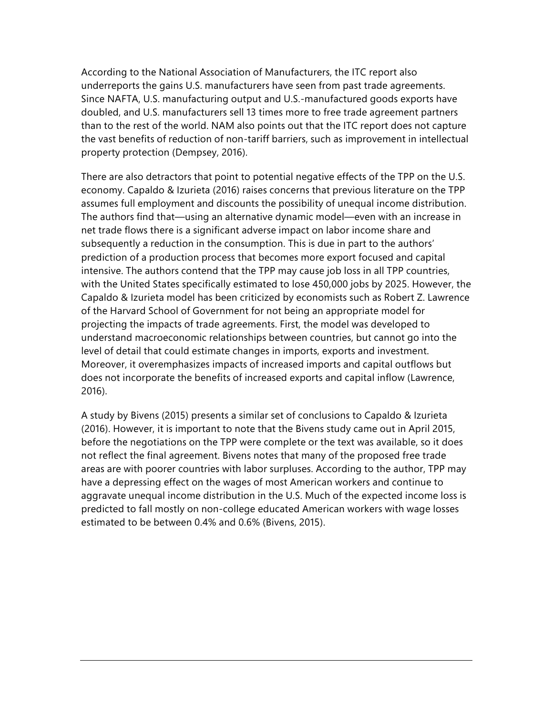According to the National Association of Manufacturers, the ITC report also underreports the gains U.S. manufacturers have seen from past trade agreements. Since NAFTA, U.S. manufacturing output and U.S.-manufactured goods exports have doubled, and U.S. manufacturers sell 13 times more to free trade agreement partners than to the rest of the world. NAM also points out that the ITC report does not capture the vast benefits of reduction of non-tariff barriers, such as improvement in intellectual property protection (Dempsey, 2016).

There are also detractors that point to potential negative effects of the TPP on the U.S. economy. Capaldo & Izurieta (2016) raises concerns that previous literature on the TPP assumes full employment and discounts the possibility of unequal income distribution. The authors find that—using an alternative dynamic model—even with an increase in net trade flows there is a significant adverse impact on labor income share and subsequently a reduction in the consumption. This is due in part to the authors' prediction of a production process that becomes more export focused and capital intensive. The authors contend that the TPP may cause job loss in all TPP countries, with the United States specifically estimated to lose 450,000 jobs by 2025. However, the Capaldo & Izurieta model has been criticized by economists such as Robert Z. Lawrence of the Harvard School of Government for not being an appropriate model for projecting the impacts of trade agreements. First, the model was developed to understand macroeconomic relationships between countries, but cannot go into the level of detail that could estimate changes in imports, exports and investment. Moreover, it overemphasizes impacts of increased imports and capital outflows but does not incorporate the benefits of increased exports and capital inflow (Lawrence, 2016).

A study by Bivens (2015) presents a similar set of conclusions to Capaldo & Izurieta (2016). However, it is important to note that the Bivens study came out in April 2015, before the negotiations on the TPP were complete or the text was available, so it does not reflect the final agreement. Bivens notes that many of the proposed free trade areas are with poorer countries with labor surpluses. According to the author, TPP may have a depressing effect on the wages of most American workers and continue to aggravate unequal income distribution in the U.S. Much of the expected income loss is predicted to fall mostly on non-college educated American workers with wage losses estimated to be between 0.4% and 0.6% (Bivens, 2015).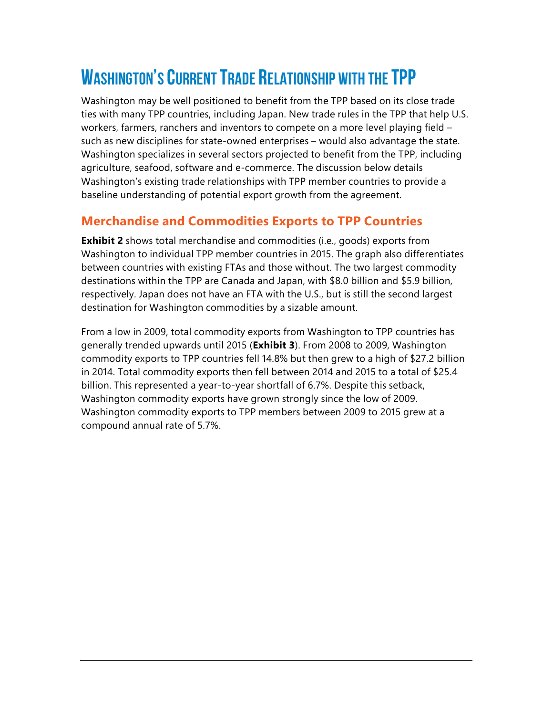# WASHINGTON'S CURRENT TRADE RELATIONSHIP WITH THE TPP

Washington may be well positioned to benefit from the TPP based on its close trade ties with many TPP countries, including Japan. New trade rules in the TPP that help U.S. workers, farmers, ranchers and inventors to compete on a more level playing field – such as new disciplines for state-owned enterprises – would also advantage the state. Washington specializes in several sectors projected to benefit from the TPP, including agriculture, seafood, software and e-commerce. The discussion below details Washington's existing trade relationships with TPP member countries to provide a baseline understanding of potential export growth from the agreement.

## **Merchandise and Commodities Exports to TPP Countries**

**Exhibit 2** shows total merchandise and commodities (i.e., goods) exports from Washington to individual TPP member countries in 2015. The graph also differentiates between countries with existing FTAs and those without. The two largest commodity destinations within the TPP are Canada and Japan, with \$8.0 billion and \$5.9 billion, respectively. Japan does not have an FTA with the U.S., but is still the second largest destination for Washington commodities by a sizable amount.

From a low in 2009, total commodity exports from Washington to TPP countries has generally trended upwards until 2015 (**Exhibit 3**). From 2008 to 2009, Washington commodity exports to TPP countries fell 14.8% but then grew to a high of \$27.2 billion in 2014. Total commodity exports then fell between 2014 and 2015 to a total of \$25.4 billion. This represented a year-to-year shortfall of 6.7%. Despite this setback, Washington commodity exports have grown strongly since the low of 2009. Washington commodity exports to TPP members between 2009 to 2015 grew at a compound annual rate of 5.7%.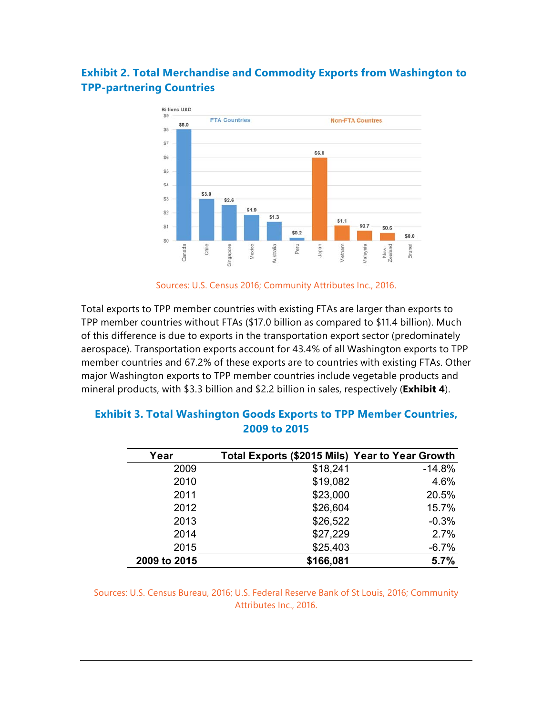#### **Exhibit 2. Total Merchandise and Commodity Exports from Washington to TPP-partnering Countries**



Sources: U.S. Census 2016; Community Attributes Inc., 2016.

Total exports to TPP member countries with existing FTAs are larger than exports to TPP member countries without FTAs (\$17.0 billion as compared to \$11.4 billion). Much of this difference is due to exports in the transportation export sector (predominately aerospace). Transportation exports account for 43.4% of all Washington exports to TPP member countries and 67.2% of these exports are to countries with existing FTAs. Other major Washington exports to TPP member countries include vegetable products and mineral products, with \$3.3 billion and \$2.2 billion in sales, respectively (**Exhibit 4**).

| Year         | Total Exports (\$2015 Mils) Year to Year Growth |          |
|--------------|-------------------------------------------------|----------|
| 2009         | \$18,241                                        | $-14.8%$ |
| 2010         | \$19,082                                        | 4.6%     |
| 2011         | \$23,000                                        | 20.5%    |
| 2012         | \$26,604                                        | 15.7%    |
| 2013         | \$26,522                                        | $-0.3%$  |
| 2014         | \$27,229                                        | 2.7%     |
| 2015         | \$25,403                                        | $-6.7%$  |
| 2009 to 2015 | \$166,081                                       | 5.7%     |

#### **Exhibit 3. Total Washington Goods Exports to TPP Member Countries, 2009 to 2015**

Sources: U.S. Census Bureau, 2016; U.S. Federal Reserve Bank of St Louis, 2016; Community Attributes Inc., 2016.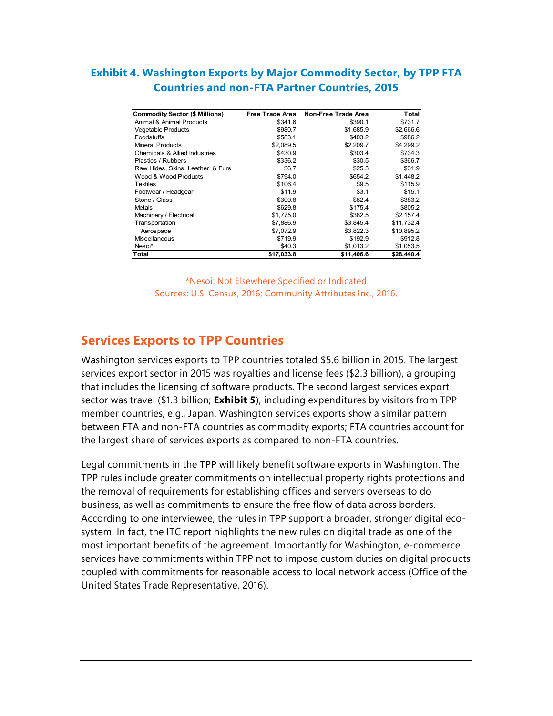#### **Exhibit 4. Washington Exports by Major Commodity Sector, by TPP FTA Countries and non-FTA Partner Countries, 2015**

| <b>Commodity Sector (\$ Millions)</b> | <b>Free Trade Area</b> | Non-Free Trade Area | Total      |
|---------------------------------------|------------------------|---------------------|------------|
| Animal & Animal Products              | \$341.6                | \$390.1             | \$731.7    |
| <b>Vegetable Products</b>             | \$980.7                | \$1,685.9           | \$2,666.6  |
| Foodstuffs                            | \$583.1                | \$403.2             | \$986.2    |
| <b>Mineral Products</b>               | \$2,089.5              | \$2,209.7           | \$4,299.2  |
| Chemicals & Allied Industries         | \$430.9                | \$303.4             | \$734.3    |
| Plastics / Rubbers                    | \$336.2                | \$30.5              | \$366.7    |
| Raw Hides, Skins, Leather, & Furs     | \$6.7                  | \$25.3              | \$31.9     |
| Wood & Wood Products                  | \$794.0                | \$654.2             | \$1,448.2  |
| Textiles                              | \$106.4                | \$9.5               | \$115.9    |
| Footwear / Headgear                   | \$11.9                 | \$3.1               | \$15.1     |
| Stone / Glass                         | \$300.8                | \$82.4              | \$383.2    |
| Metals                                | \$629.8                | \$175.4             | \$805.2    |
| Machinery / Electrical                | \$1,775.0              | \$382.5             | \$2,157.4  |
| Transportation                        | \$7,886.9              | \$3,845.4           | \$11,732.4 |
| Aerospace                             | \$7,072.9              | \$3,822.3           | \$10,895.2 |
| <b>Miscellaneous</b>                  | \$719.9                | \$192.9             | \$912.8    |
| Nesoi*                                | \$40.3                 | \$1,013.2           | \$1,053.5  |
| Total                                 | \$17,033.8             | \$11,406.6          | \$28,440.4 |

\*Nesoi: Not Elsewhere Specified or Indicated Sources: U.S. Census, 2016; Community Attributes Inc., 2016.

#### **Services Exports to TPP Countries**

Washington services exports to TPP countries totaled \$5.6 billion in 2015. The largest services export sector in 2015 was royalties and license fees (\$2.3 billion), a grouping that includes the licensing of software products. The second largest services export sector was travel (\$1.3 billion; **Exhibit 5**), including expenditures by visitors from TPP member countries, e.g., Japan. Washington services exports show a similar pattern between FTA and non-FTA countries as commodity exports; FTA countries account for the largest share of services exports as compared to non-FTA countries.

Legal commitments in the TPP will likely benefit software exports in Washington. The TPP rules include greater commitments on intellectual property rights protections and the removal of requirements for establishing offices and servers overseas to do business, as well as commitments to ensure the free flow of data across borders. According to one interviewee, the rules in TPP support a broader, stronger digital ecosystem. In fact, the ITC report highlights the new rules on digital trade as one of the most important benefits of the agreement. Importantly for Washington, e-commerce services have commitments within TPP not to impose custom duties on digital products coupled with commitments for reasonable access to local network access (Office of the United States Trade Representative, 2016).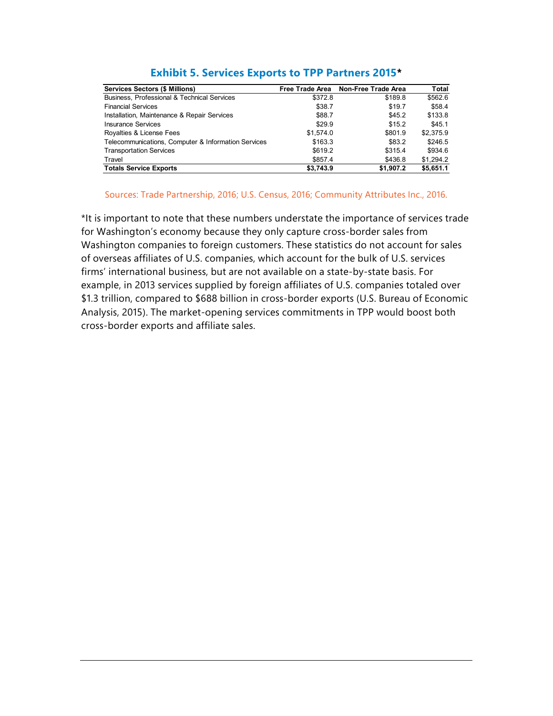| <b>Services Sectors (\$ Millions)</b>               | Free Trade Area | Non-Free Trade Area | Total     |
|-----------------------------------------------------|-----------------|---------------------|-----------|
| Business, Professional & Technical Services         | \$372.8         | \$189.8             | \$562.6   |
| <b>Financial Services</b>                           | \$38.7          | \$19.7              | \$58.4    |
| Installation, Maintenance & Repair Services         | \$88.7          | \$45.2              | \$133.8   |
| Insurance Services                                  | \$29.9          | \$15.2              | \$45.1    |
| Royalties & License Fees                            | \$1.574.0       | \$801.9             | \$2,375.9 |
| Telecommunications, Computer & Information Services | \$163.3         | \$83.2              | \$246.5   |
| <b>Transportation Services</b>                      | \$619.2         | \$315.4             | \$934.6   |
| Travel                                              | \$857.4         | \$436.8             | \$1.294.2 |
| <b>Totals Service Exports</b>                       | \$3,743.9       | \$1,907.2           | \$5,651.1 |

#### **Exhibit 5. Services Exports to TPP Partners 2015\***

#### Sources: Trade Partnership, 2016; U.S. Census, 2016; Community Attributes Inc., 2016.

\*It is important to note that these numbers understate the importance of services trade for Washington's economy because they only capture cross-border sales from Washington companies to foreign customers. These statistics do not account for sales of overseas affiliates of U.S. companies, which account for the bulk of U.S. services firms' international business, but are not available on a state-by-state basis. For example, in 2013 services supplied by foreign affiliates of U.S. companies totaled over \$1.3 trillion, compared to \$688 billion in cross-border exports (U.S. Bureau of Economic Analysis, 2015). The market-opening services commitments in TPP would boost both cross-border exports and affiliate sales.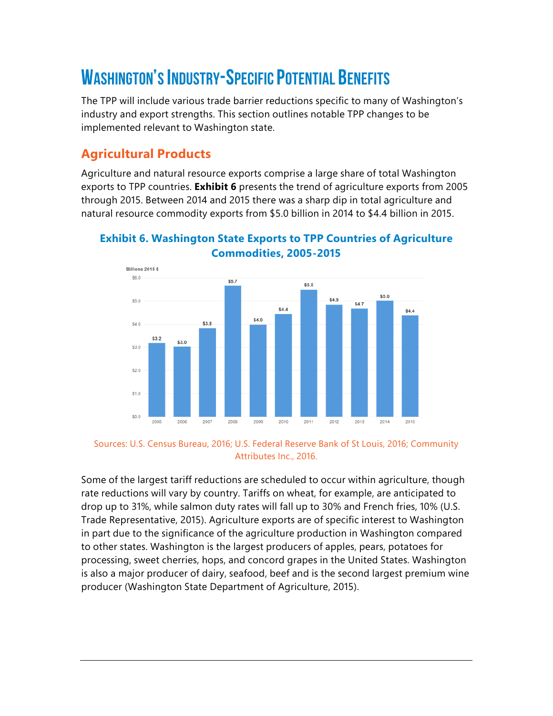# WASHINGTON'S INDUSTRY-SPECIFIC POTENTIAL BENEFITS

The TPP will include various trade barrier reductions specific to many of Washington's industry and export strengths. This section outlines notable TPP changes to be implemented relevant to Washington state.

# **Agricultural Products**

Agriculture and natural resource exports comprise a large share of total Washington exports to TPP countries. **Exhibit 6** presents the trend of agriculture exports from 2005 through 2015. Between 2014 and 2015 there was a sharp dip in total agriculture and natural resource commodity exports from \$5.0 billion in 2014 to \$4.4 billion in 2015.



#### **Exhibit 6. Washington State Exports to TPP Countries of Agriculture Commodities, 2005-2015**

Sources: U.S. Census Bureau, 2016; U.S. Federal Reserve Bank of St Louis, 2016; Community Attributes Inc., 2016.

Some of the largest tariff reductions are scheduled to occur within agriculture, though rate reductions will vary by country. Tariffs on wheat, for example, are anticipated to drop up to 31%, while salmon duty rates will fall up to 30% and French fries, 10% (U.S. Trade Representative, 2015). Agriculture exports are of specific interest to Washington in part due to the significance of the agriculture production in Washington compared to other states. Washington is the largest producers of apples, pears, potatoes for processing, sweet cherries, hops, and concord grapes in the United States. Washington is also a major producer of dairy, seafood, beef and is the second largest premium wine producer (Washington State Department of Agriculture, 2015).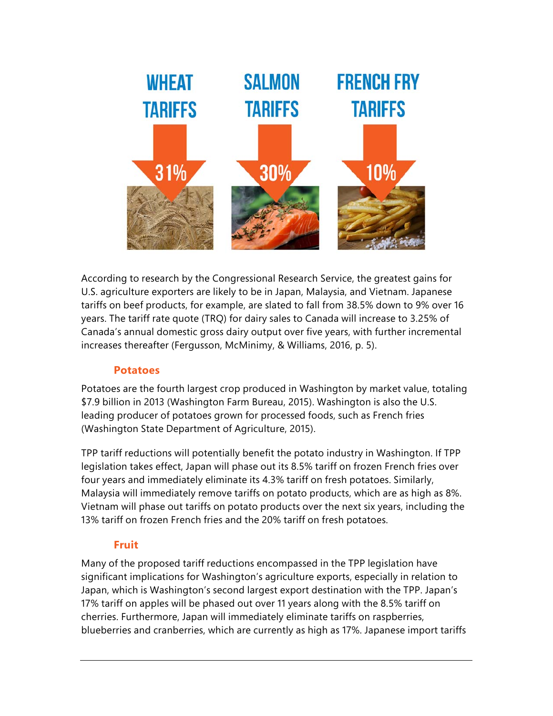

According to research by the Congressional Research Service, the greatest gains for U.S. agriculture exporters are likely to be in Japan, Malaysia, and Vietnam. Japanese tariffs on beef products, for example, are slated to fall from 38.5% down to 9% over 16 years. The tariff rate quote (TRQ) for dairy sales to Canada will increase to 3.25% of Canada's annual domestic gross dairy output over five years, with further incremental increases thereafter (Fergusson, McMinimy, & Williams, 2016, p. 5).

#### **Potatoes**

Potatoes are the fourth largest crop produced in Washington by market value, totaling \$7.9 billion in 2013 (Washington Farm Bureau, 2015). Washington is also the U.S. leading producer of potatoes grown for processed foods, such as French fries (Washington State Department of Agriculture, 2015).

TPP tariff reductions will potentially benefit the potato industry in Washington. If TPP legislation takes effect, Japan will phase out its 8.5% tariff on frozen French fries over four years and immediately eliminate its 4.3% tariff on fresh potatoes. Similarly, Malaysia will immediately remove tariffs on potato products, which are as high as 8%. Vietnam will phase out tariffs on potato products over the next six years, including the 13% tariff on frozen French fries and the 20% tariff on fresh potatoes.

#### **Fruit**

Many of the proposed tariff reductions encompassed in the TPP legislation have significant implications for Washington's agriculture exports, especially in relation to Japan, which is Washington's second largest export destination with the TPP. Japan's 17% tariff on apples will be phased out over 11 years along with the 8.5% tariff on cherries. Furthermore, Japan will immediately eliminate tariffs on raspberries, blueberries and cranberries, which are currently as high as 17%. Japanese import tariffs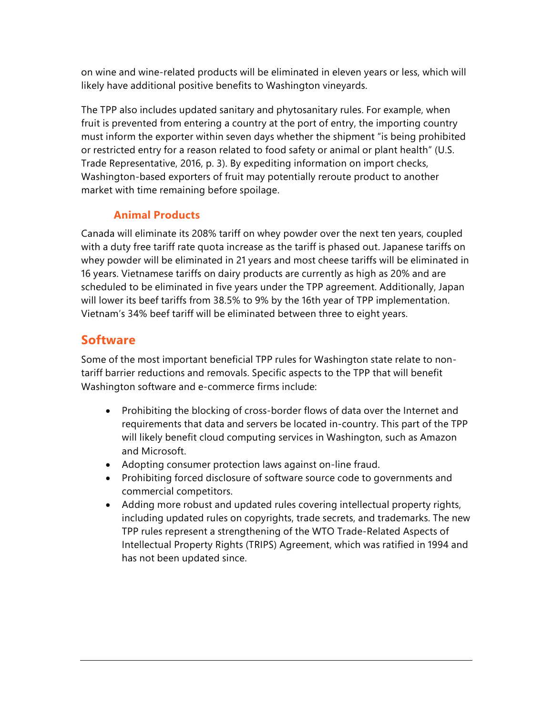on wine and wine-related products will be eliminated in eleven years or less, which will likely have additional positive benefits to Washington vineyards.

The TPP also includes updated sanitary and phytosanitary rules. For example, when fruit is prevented from entering a country at the port of entry, the importing country must inform the exporter within seven days whether the shipment "is being prohibited or restricted entry for a reason related to food safety or animal or plant health" (U.S. Trade Representative, 2016, p. 3). By expediting information on import checks, Washington-based exporters of fruit may potentially reroute product to another market with time remaining before spoilage.

#### **Animal Products**

Canada will eliminate its 208% tariff on whey powder over the next ten years, coupled with a duty free tariff rate quota increase as the tariff is phased out. Japanese tariffs on whey powder will be eliminated in 21 years and most cheese tariffs will be eliminated in 16 years. Vietnamese tariffs on dairy products are currently as high as 20% and are scheduled to be eliminated in five years under the TPP agreement. Additionally, Japan will lower its beef tariffs from 38.5% to 9% by the 16th year of TPP implementation. Vietnam's 34% beef tariff will be eliminated between three to eight years.

### **Software**

Some of the most important beneficial TPP rules for Washington state relate to nontariff barrier reductions and removals. Specific aspects to the TPP that will benefit Washington software and e-commerce firms include:

- Prohibiting the blocking of cross-border flows of data over the Internet and requirements that data and servers be located in-country. This part of the TPP will likely benefit cloud computing services in Washington, such as Amazon and Microsoft.
- Adopting consumer protection laws against on-line fraud.
- Prohibiting forced disclosure of software source code to governments and commercial competitors.
- Adding more robust and updated rules covering intellectual property rights, including updated rules on copyrights, trade secrets, and trademarks. The new TPP rules represent a strengthening of the WTO Trade-Related Aspects of Intellectual Property Rights (TRIPS) Agreement, which was ratified in 1994 and has not been updated since.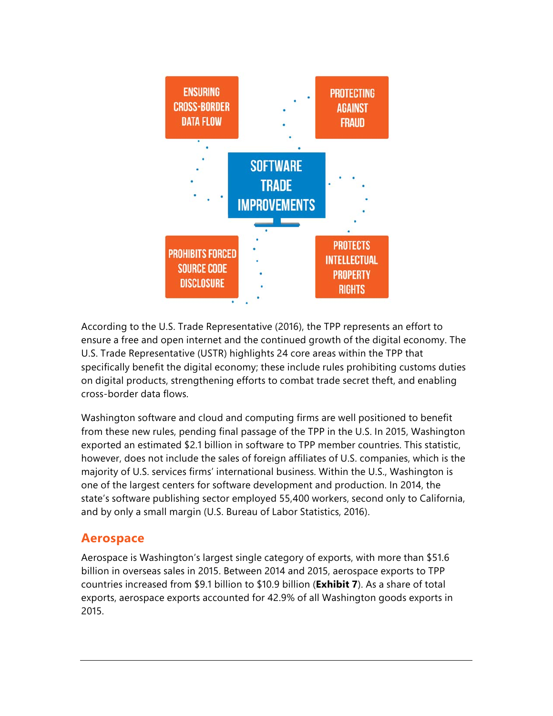

According to the U.S. Trade Representative (2016), the TPP represents an effort to ensure a free and open internet and the continued growth of the digital economy. The U.S. Trade Representative (USTR) highlights 24 core areas within the TPP that specifically benefit the digital economy; these include rules prohibiting customs duties on digital products, strengthening efforts to combat trade secret theft, and enabling cross-border data flows.

Washington software and cloud and computing firms are well positioned to benefit from these new rules, pending final passage of the TPP in the U.S. In 2015, Washington exported an estimated \$2.1 billion in software to TPP member countries. This statistic, however, does not include the sales of foreign affiliates of U.S. companies, which is the majority of U.S. services firms' international business. Within the U.S., Washington is one of the largest centers for software development and production. In 2014, the state's software publishing sector employed 55,400 workers, second only to California, and by only a small margin (U.S. Bureau of Labor Statistics, 2016).

## **Aerospace**

Aerospace is Washington's largest single category of exports, with more than \$51.6 billion in overseas sales in 2015. Between 2014 and 2015, aerospace exports to TPP countries increased from \$9.1 billion to \$10.9 billion (**Exhibit 7**). As a share of total exports, aerospace exports accounted for 42.9% of all Washington goods exports in 2015.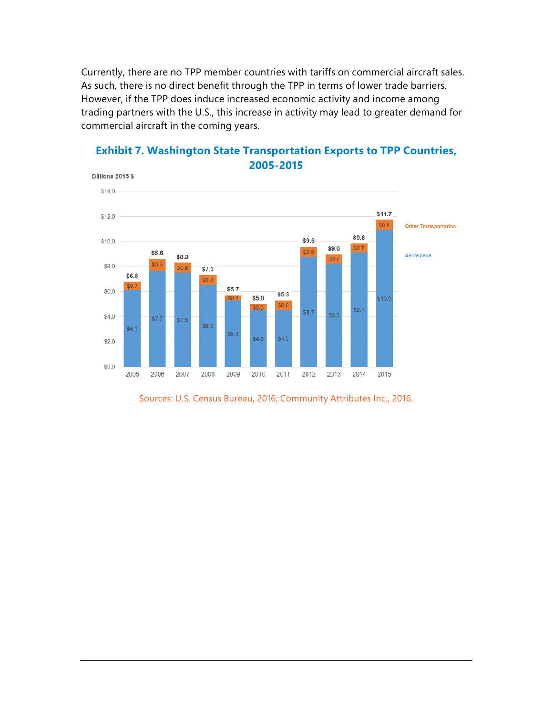Currently, there are no TPP member countries with tariffs on commercial aircraft sales. As such, there is no direct benefit through the TPP in terms of lower trade barriers. However, if the TPP does induce increased economic activity and income among trading partners with the U.S., this increase in activity may lead to greater demand for commercial aircraft in the coming years.



#### **Exhibit 7. Washington State Transportation Exports to TPP Countries, 2005-2015**

Sources: U.S. Census Bureau, 2016; Community Attributes Inc., 2016.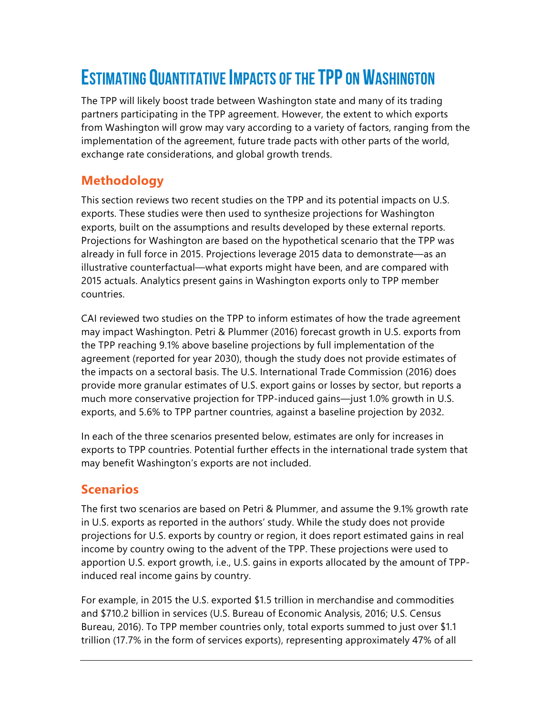# ESTIMATING QUANTITATIVE IMPACTS OF THE TPP ON WASHINGTON

The TPP will likely boost trade between Washington state and many of its trading partners participating in the TPP agreement. However, the extent to which exports from Washington will grow may vary according to a variety of factors, ranging from the implementation of the agreement, future trade pacts with other parts of the world, exchange rate considerations, and global growth trends.

## **Methodology**

This section reviews two recent studies on the TPP and its potential impacts on U.S. exports. These studies were then used to synthesize projections for Washington exports, built on the assumptions and results developed by these external reports. Projections for Washington are based on the hypothetical scenario that the TPP was already in full force in 2015. Projections leverage 2015 data to demonstrate—as an illustrative counterfactual—what exports might have been, and are compared with 2015 actuals. Analytics present gains in Washington exports only to TPP member countries.

CAI reviewed two studies on the TPP to inform estimates of how the trade agreement may impact Washington. Petri & Plummer (2016) forecast growth in U.S. exports from the TPP reaching 9.1% above baseline projections by full implementation of the agreement (reported for year 2030), though the study does not provide estimates of the impacts on a sectoral basis. The U.S. International Trade Commission (2016) does provide more granular estimates of U.S. export gains or losses by sector, but reports a much more conservative projection for TPP-induced gains—just 1.0% growth in U.S. exports, and 5.6% to TPP partner countries, against a baseline projection by 2032.

In each of the three scenarios presented below, estimates are only for increases in exports to TPP countries. Potential further effects in the international trade system that may benefit Washington's exports are not included.

# **Scenarios**

The first two scenarios are based on Petri & Plummer, and assume the 9.1% growth rate in U.S. exports as reported in the authors' study. While the study does not provide projections for U.S. exports by country or region, it does report estimated gains in real income by country owing to the advent of the TPP. These projections were used to apportion U.S. export growth, i.e., U.S. gains in exports allocated by the amount of TPPinduced real income gains by country.

For example, in 2015 the U.S. exported \$1.5 trillion in merchandise and commodities and \$710.2 billion in services (U.S. Bureau of Economic Analysis, 2016; U.S. Census Bureau, 2016). To TPP member countries only, total exports summed to just over \$1.1 trillion (17.7% in the form of services exports), representing approximately 47% of all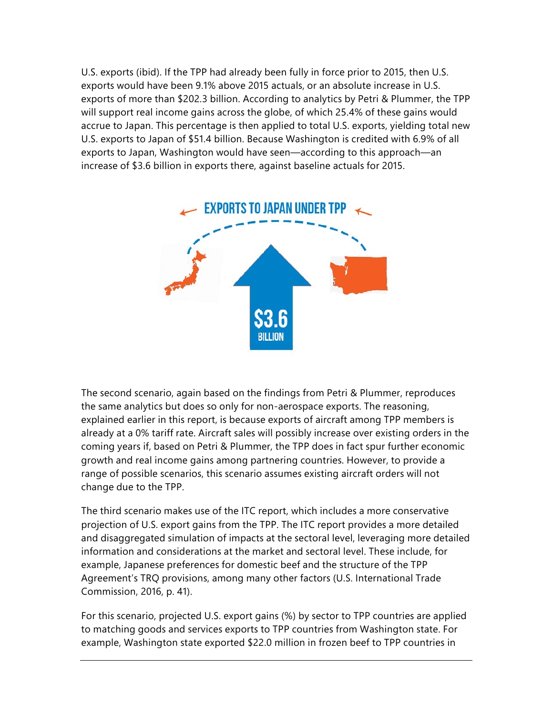U.S. exports (ibid). If the TPP had already been fully in force prior to 2015, then U.S. exports would have been 9.1% above 2015 actuals, or an absolute increase in U.S. exports of more than \$202.3 billion. According to analytics by Petri & Plummer, the TPP will support real income gains across the globe, of which 25.4% of these gains would accrue to Japan. This percentage is then applied to total U.S. exports, yielding total new U.S. exports to Japan of \$51.4 billion. Because Washington is credited with 6.9% of all exports to Japan, Washington would have seen—according to this approach—an increase of \$3.6 billion in exports there, against baseline actuals for 2015.



The second scenario, again based on the findings from Petri & Plummer, reproduces the same analytics but does so only for non-aerospace exports. The reasoning, explained earlier in this report, is because exports of aircraft among TPP members is already at a 0% tariff rate. Aircraft sales will possibly increase over existing orders in the coming years if, based on Petri & Plummer, the TPP does in fact spur further economic growth and real income gains among partnering countries. However, to provide a range of possible scenarios, this scenario assumes existing aircraft orders will not change due to the TPP.

The third scenario makes use of the ITC report, which includes a more conservative projection of U.S. export gains from the TPP. The ITC report provides a more detailed and disaggregated simulation of impacts at the sectoral level, leveraging more detailed information and considerations at the market and sectoral level. These include, for example, Japanese preferences for domestic beef and the structure of the TPP Agreement's TRQ provisions, among many other factors (U.S. International Trade Commission, 2016, p. 41).

For this scenario, projected U.S. export gains (%) by sector to TPP countries are applied to matching goods and services exports to TPP countries from Washington state. For example, Washington state exported \$22.0 million in frozen beef to TPP countries in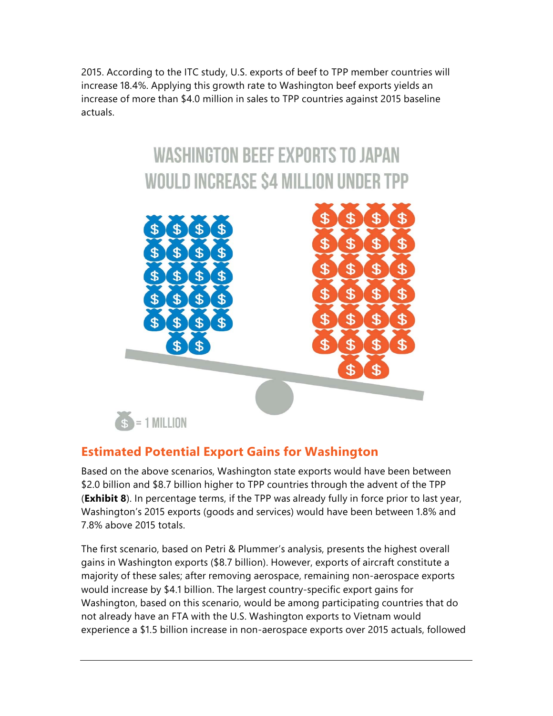2015. According to the ITC study, U.S. exports of beef to TPP member countries will increase 18.4%. Applying this growth rate to Washington beef exports yields an increase of more than \$4.0 million in sales to TPP countries against 2015 baseline actuals.

# **WASHINGTON BEEF EXPORTS TO JAPAN WOULD INCREASE \$4 MILLION UNDER TPP**



## **Estimated Potential Export Gains for Washington**

Based on the above scenarios, Washington state exports would have been between \$2.0 billion and \$8.7 billion higher to TPP countries through the advent of the TPP (**Exhibit 8**). In percentage terms, if the TPP was already fully in force prior to last year, Washington's 2015 exports (goods and services) would have been between 1.8% and 7.8% above 2015 totals.

The first scenario, based on Petri & Plummer's analysis, presents the highest overall gains in Washington exports (\$8.7 billion). However, exports of aircraft constitute a majority of these sales; after removing aerospace, remaining non-aerospace exports would increase by \$4.1 billion. The largest country-specific export gains for Washington, based on this scenario, would be among participating countries that do not already have an FTA with the U.S. Washington exports to Vietnam would experience a \$1.5 billion increase in non-aerospace exports over 2015 actuals, followed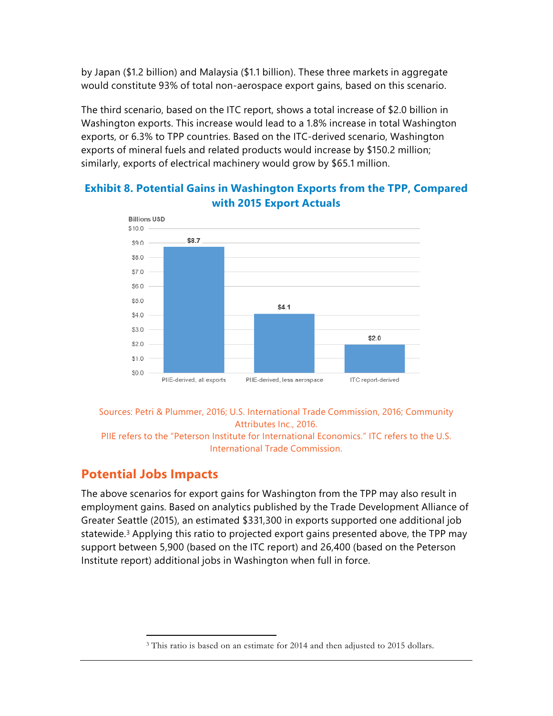by Japan (\$1.2 billion) and Malaysia (\$1.1 billion). These three markets in aggregate would constitute 93% of total non-aerospace export gains, based on this scenario.

The third scenario, based on the ITC report, shows a total increase of \$2.0 billion in Washington exports. This increase would lead to a 1.8% increase in total Washington exports, or 6.3% to TPP countries. Based on the ITC-derived scenario, Washington exports of mineral fuels and related products would increase by \$150.2 million; similarly, exports of electrical machinery would grow by \$65.1 million.



#### **Exhibit 8. Potential Gains in Washington Exports from the TPP, Compared with 2015 Export Actuals**

Sources: Petri & Plummer, 2016; U.S. International Trade Commission, 2016; Community Attributes Inc., 2016.

PIIE refers to the "Peterson Institute for International Economics." ITC refers to the U.S. International Trade Commission.

## **Potential Jobs Impacts**

The above scenarios for export gains for Washington from the TPP may also result in employment gains. Based on analytics published by the Trade Development Alliance of Greater Seattle (2015), an estimated \$331,300 in exports supported one additional job statewide.<sup>3</sup> Applying this ratio to projected export gains presented above, the TPP may support between 5,900 (based on the ITC report) and 26,400 (based on the Peterson Institute report) additional jobs in Washington when full in force.

 $\overline{a}$ <sup>3</sup> This ratio is based on an estimate for 2014 and then adjusted to 2015 dollars.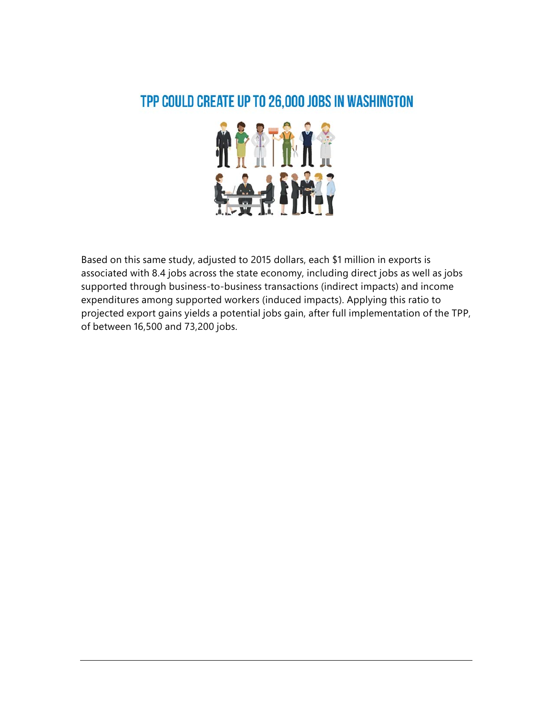# TPP COULD CREATE UP TO 26,000 JOBS IN WASHINGTON



Based on this same study, adjusted to 2015 dollars, each \$1 million in exports is associated with 8.4 jobs across the state economy, including direct jobs as well as jobs supported through business-to-business transactions (indirect impacts) and income expenditures among supported workers (induced impacts). Applying this ratio to projected export gains yields a potential jobs gain, after full implementation of the TPP, of between 16,500 and 73,200 jobs.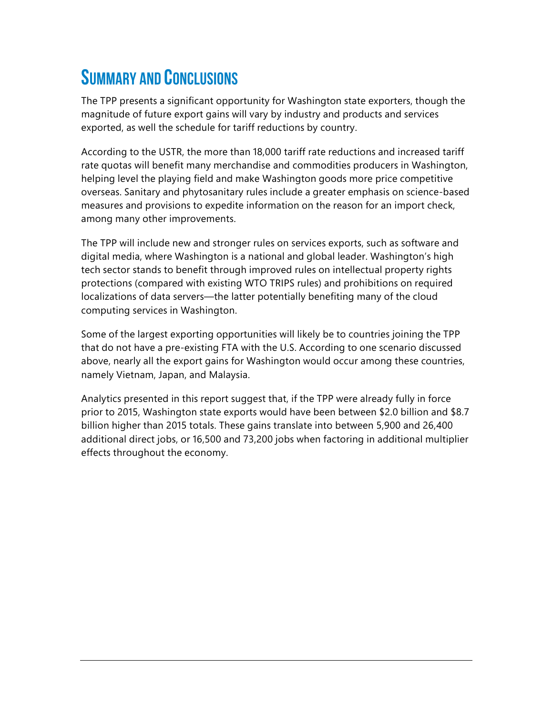# SUMMARY AND CONCLUSIONS

The TPP presents a significant opportunity for Washington state exporters, though the magnitude of future export gains will vary by industry and products and services exported, as well the schedule for tariff reductions by country.

According to the USTR, the more than 18,000 tariff rate reductions and increased tariff rate quotas will benefit many merchandise and commodities producers in Washington, helping level the playing field and make Washington goods more price competitive overseas. Sanitary and phytosanitary rules include a greater emphasis on science-based measures and provisions to expedite information on the reason for an import check, among many other improvements.

The TPP will include new and stronger rules on services exports, such as software and digital media, where Washington is a national and global leader. Washington's high tech sector stands to benefit through improved rules on intellectual property rights protections (compared with existing WTO TRIPS rules) and prohibitions on required localizations of data servers—the latter potentially benefiting many of the cloud computing services in Washington.

Some of the largest exporting opportunities will likely be to countries joining the TPP that do not have a pre-existing FTA with the U.S. According to one scenario discussed above, nearly all the export gains for Washington would occur among these countries, namely Vietnam, Japan, and Malaysia.

Analytics presented in this report suggest that, if the TPP were already fully in force prior to 2015, Washington state exports would have been between \$2.0 billion and \$8.7 billion higher than 2015 totals. These gains translate into between 5,900 and 26,400 additional direct jobs, or 16,500 and 73,200 jobs when factoring in additional multiplier effects throughout the economy.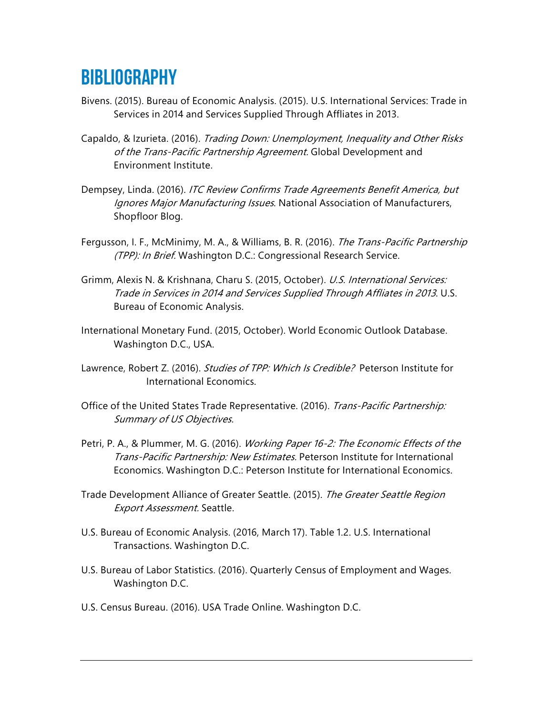# **BIBLIOGRAPHY**

- Bivens. (2015). Bureau of Economic Analysis. (2015). U.S. International Services: Trade in Services in 2014 and Services Supplied Through Affliates in 2013.
- Capaldo, & Izurieta. (2016). Trading Down: Unemployment, Inequality and Other Risks of the Trans-Pacific Partnership Agreement. Global Development and Environment Institute.
- Dempsey, Linda. (2016). *ITC Review Confirms Trade Agreements Benefit America, but* Ignores Major Manufacturing Issues. National Association of Manufacturers, Shopfloor Blog.
- Fergusson, I. F., McMinimy, M. A., & Williams, B. R. (2016). The Trans-Pacific Partnership (TPP): In Brief. Washington D.C.: Congressional Research Service.
- Grimm, Alexis N. & Krishnana, Charu S. (2015, October). U.S. International Services: Trade in Services in 2014 and Services Supplied Through Affliates in 2013. U.S. Bureau of Economic Analysis.
- International Monetary Fund. (2015, October). World Economic Outlook Database. Washington D.C., USA.
- Lawrence, Robert Z. (2016). Studies of TPP: Which Is Credible? Peterson Institute for International Economics.
- Office of the United States Trade Representative. (2016). Trans-Pacific Partnership: Summary of US Objectives.
- Petri, P. A., & Plummer, M. G. (2016). *Working Paper 16-2: The Economic Effects of the* Trans-Pacific Partnership: New Estimates. Peterson Institute for International Economics. Washington D.C.: Peterson Institute for International Economics.
- Trade Development Alliance of Greater Seattle. (2015). The Greater Seattle Region Export Assessment. Seattle.
- U.S. Bureau of Economic Analysis. (2016, March 17). Table 1.2. U.S. International Transactions. Washington D.C.
- U.S. Bureau of Labor Statistics. (2016). Quarterly Census of Employment and Wages. Washington D.C.
- U.S. Census Bureau. (2016). USA Trade Online. Washington D.C.